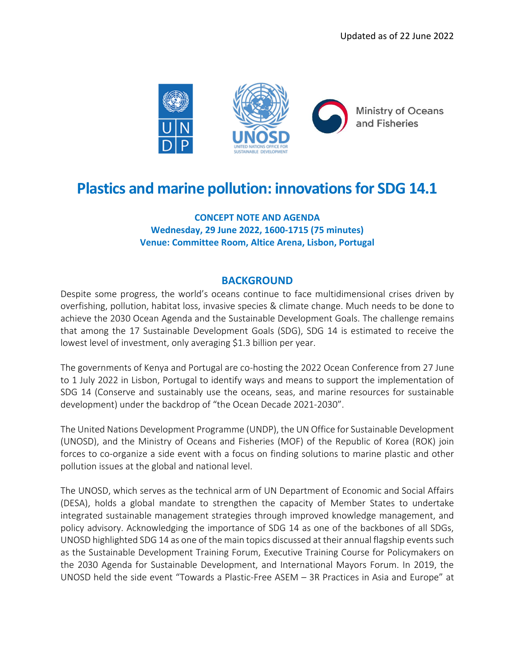

## **Plastics and marine pollution: innovations for SDG 14.1**

**CONCEPT NOTE AND AGENDA Wednesday, 29 June 2022, 1600-1715 (75 minutes) Venue: Committee Room, Altice Arena, Lisbon, Portugal**

## **BACKGROUND**

Despite some progress, the world's oceans continue to face multidimensional crises driven by overfishing, pollution, habitat loss, invasive species & climate change. Much needs to be done to achieve the 2030 Ocean Agenda and the Sustainable Development Goals. The challenge remains that among the 17 Sustainable Development Goals (SDG), SDG 14 is estimated to receive the lowest level of investment, only averaging \$1.3 billion per year.

The governments of Kenya and Portugal are co-hosting the 2022 Ocean Conference from 27 June to 1 July 2022 in Lisbon, Portugal to identify ways and means to support the implementation of SDG 14 (Conserve and sustainably use the oceans, seas, and marine resources for sustainable development) under the backdrop of "the Ocean Decade 2021-2030".

The United Nations Development Programme (UNDP), the UN Office for Sustainable Development (UNOSD), and the Ministry of Oceans and Fisheries (MOF) of the Republic of Korea (ROK) join forces to co-organize a side event with a focus on finding solutions to marine plastic and other pollution issues at the global and national level.

The UNOSD, which serves as the technical arm of UN Department of Economic and Social Affairs (DESA), holds a global mandate to strengthen the capacity of Member States to undertake integrated sustainable management strategies through improved knowledge management, and policy advisory. Acknowledging the importance of SDG 14 as one of the backbones of all SDGs, UNOSD highlighted SDG 14 as one of the main topics discussed at their annual flagship events such as the Sustainable Development Training Forum, Executive Training Course for Policymakers on the 2030 Agenda for Sustainable Development, and International Mayors Forum. In 2019, the UNOSD held the side event "Towards a Plastic-Free ASEM – 3R Practices in Asia and Europe" at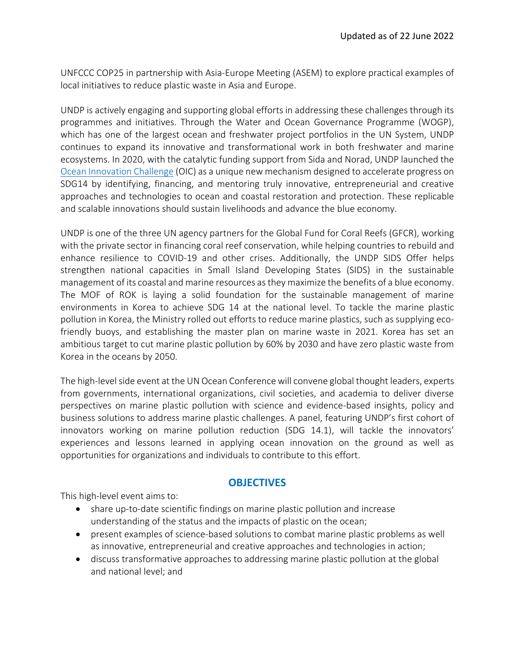UNFCCC COP25 in partnership with Asia-Europe Meeting (ASEM) to explore practical examples of local initiatives to reduce plastic waste in Asia and Europe.

UNDP is actively engaging and supporting global efforts in addressing these challenges through its programmes and initiatives. Through the Water and Ocean Governance Programme (WOGP), which has one of the largest ocean and freshwater project portfolios in the UN System, UNDP continues to expand its innovative and transformational work in both freshwater and marine ecosystems. In 2020, with the catalytic funding support from Sida and Norad, UNDP launched the [Ocean Innovation Challenge](http://www.oceaninnovationchallenge.org/) (OIC) as a unique new mechanism designed to accelerate progress on SDG14 by identifying, financing, and mentoring truly innovative, entrepreneurial and creative approaches and technologies to ocean and coastal restoration and protection. These replicable and scalable innovations should sustain livelihoods and advance the blue economy.

UNDP is one of the three UN agency partners for the Global Fund for Coral Reefs (GFCR), working with the private sector in financing coral reef conservation, while helping countries to rebuild and enhance resilience to COVID-19 and other crises. Additionally, the UNDP SIDS Offer helps strengthen national capacities in Small Island Developing States (SIDS) in the sustainable management of its coastal and marine resources as they maximize the benefits of a blue economy. The MOF of ROK is laying a solid foundation for the sustainable management of marine environments in Korea to achieve SDG 14 at the national level. To tackle the marine plastic pollution in Korea, the Ministry rolled out efforts to reduce marine plastics, such as supplying ecofriendly buoys, and establishing the master plan on marine waste in 2021. Korea has set an ambitious target to cut marine plastic pollution by 60% by 2030 and have zero plastic waste from Korea in the oceans by 2050.

The high-level side event at the UN Ocean Conference will convene global thought leaders, experts from governments, international organizations, civil societies, and academia to deliver diverse perspectives on marine plastic pollution with science and evidence-based insights, policy and business solutions to address marine plastic challenges. A panel, featuring UNDP's first cohort of innovators working on marine pollution reduction (SDG 14.1), will tackle the innovators' experiences and lessons learned in applying ocean innovation on the ground as well as opportunities for organizations and individuals to contribute to this effort.

## **OBJECTIVES**

This high-level event aims to:

- share up-to-date scientific findings on marine plastic pollution and increase understanding of the status and the impacts of plastic on the ocean;
- present examples of science-based solutions to combat marine plastic problems as well as innovative, entrepreneurial and creative approaches and technologies in action;
- discuss transformative approaches to addressing marine plastic pollution at the global and national level; and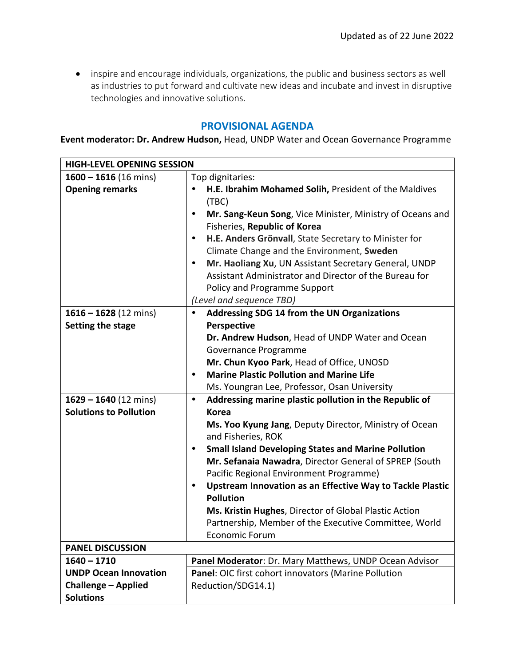• inspire and encourage individuals, organizations, the public and business sectors as well as industries to put forward and cultivate new ideas and incubate and invest in disruptive technologies and innovative solutions.

## **PROVISIONAL AGENDA**

**Event moderator: Dr. Andrew Hudson,** Head, UNDP Water and Ocean Governance Programme

| <b>HIGH-LEVEL OPENING SESSION</b> |                                                                                            |  |
|-----------------------------------|--------------------------------------------------------------------------------------------|--|
| $1600 - 1616(16 \text{ mins})$    | Top dignitaries:                                                                           |  |
| <b>Opening remarks</b>            | H.E. Ibrahim Mohamed Solih, President of the Maldives<br>(TBC)                             |  |
|                                   | Mr. Sang-Keun Song, Vice Minister, Ministry of Oceans and<br>$\bullet$                     |  |
|                                   | Fisheries, Republic of Korea                                                               |  |
|                                   | H.E. Anders Grönvall, State Secretary to Minister for<br>$\bullet$                         |  |
|                                   | Climate Change and the Environment, Sweden                                                 |  |
|                                   | Mr. Haoliang Xu, UN Assistant Secretary General, UNDP<br>٠                                 |  |
|                                   | Assistant Administrator and Director of the Bureau for                                     |  |
|                                   | Policy and Programme Support                                                               |  |
|                                   | (Level and sequence TBD)                                                                   |  |
| $1616 - 1628(12 \text{ mins})$    | Addressing SDG 14 from the UN Organizations<br>$\bullet$                                   |  |
| Setting the stage                 | <b>Perspective</b>                                                                         |  |
|                                   | Dr. Andrew Hudson, Head of UNDP Water and Ocean                                            |  |
|                                   | Governance Programme                                                                       |  |
|                                   | Mr. Chun Kyoo Park, Head of Office, UNOSD                                                  |  |
|                                   | <b>Marine Plastic Pollution and Marine Life</b><br>$\bullet$                               |  |
|                                   | Ms. Youngran Lee, Professor, Osan University                                               |  |
| $1629 - 1640$ (12 mins)           | Addressing marine plastic pollution in the Republic of<br>$\bullet$                        |  |
| <b>Solutions to Pollution</b>     | <b>Korea</b>                                                                               |  |
|                                   | Ms. Yoo Kyung Jang, Deputy Director, Ministry of Ocean<br>and Fisheries, ROK               |  |
|                                   | <b>Small Island Developing States and Marine Pollution</b><br>$\bullet$                    |  |
|                                   | Mr. Sefanaia Nawadra, Director General of SPREP (South                                     |  |
|                                   | Pacific Regional Environment Programme)                                                    |  |
|                                   | Upstream Innovation as an Effective Way to Tackle Plastic<br>$\bullet$<br><b>Pollution</b> |  |
|                                   | Ms. Kristin Hughes, Director of Global Plastic Action                                      |  |
|                                   | Partnership, Member of the Executive Committee, World                                      |  |
|                                   | Economic Forum                                                                             |  |
| <b>PANEL DISCUSSION</b>           |                                                                                            |  |
| $1640 - 1710$                     | Panel Moderator: Dr. Mary Matthews, UNDP Ocean Advisor                                     |  |
| <b>UNDP Ocean Innovation</b>      | Panel: OIC first cohort innovators (Marine Pollution                                       |  |
| <b>Challenge - Applied</b>        | Reduction/SDG14.1)                                                                         |  |
| <b>Solutions</b>                  |                                                                                            |  |